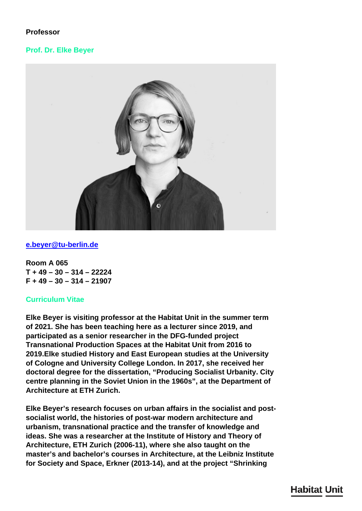# **Professor**

#### **Prof. Dr. Elke Beyer**



#### **[e.beyer@tu-berlin.de](mailto:e.beyer@tu-berlin.de)**

**Room A 065 T + 49 – 30 – 314 – 22224 F + 49 – 30 – 314 – 21907**

#### **Curriculum Vitae**

**Elke Beyer is visiting professor at the Habitat Unit in the summer term of 2021. She has been teaching here as a lecturer since 2019, and participated as a senior researcher in the DFG-funded project Transnational Production Spaces at the Habitat Unit from 2016 to 2019.Elke studied History and East European studies at the University of Cologne and University College London. In 2017, she received her doctoral degree for the dissertation, "Producing Socialist Urbanity. City centre planning in the Soviet Union in the 1960s", at the Department of Architecture at ETH Zurich.**

**Elke Beyer's research focuses on urban affairs in the socialist and postsocialist world, the histories of post-war modern architecture and urbanism, transnational practice and the transfer of knowledge and ideas. She was a researcher at the Institute of History and Theory of Architecture, ETH Zurich (2006-11), where she also taught on the master's and bachelor's courses in Architecture, at the Leibniz Institute for Society and Space, Erkner (2013-14), and at the project "Shrinking**

# **Habitat Unit**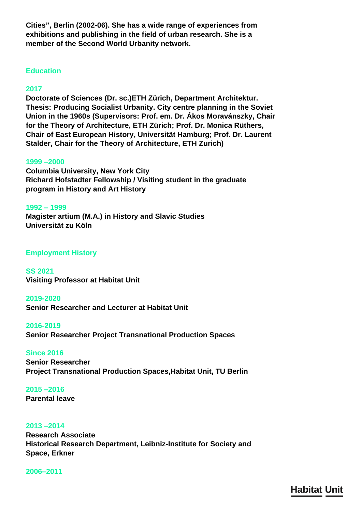**Cities", Berlin (2002-06). She has a wide range of experiences from exhibitions and publishing in the field of urban research. She is a member of the Second World Urbanity network.**

#### **Education**

#### **2017**

**Doctorate of Sciences (Dr. sc.)ETH Zürich, Department Architektur. Thesis: Producing Socialist Urbanity. City centre planning in the Soviet Union in the 1960s (Supervisors: Prof. em. Dr. Ákos Moravánszky, Chair for the Theory of Architecture, ETH Zürich; Prof. Dr. Monica Rüthers, Chair of East European History, Universität Hamburg; Prof. Dr. Laurent Stalder, Chair for the Theory of Architecture, ETH Zurich)**

#### **1999 –2000**

**Columbia University, New York City Richard Hofstadter Fellowship / Visiting student in the graduate program in History and Art History**

#### **1992 – 1999**

**Magister artium (M.A.) in History and Slavic Studies Universität zu Köln**

# **Employment History**

**SS 2021 Visiting Professor at Habitat Unit**

#### **2019-2020**

**Senior Researcher and Lecturer at Habitat Unit**

**2016-2019 Senior Researcher Project Transnational Production Spaces**

#### **Since 2016 Senior Researcher**

**Project Transnational Production Spaces,Habitat Unit, TU Berlin**

# **2015 –2016 Parental leave**

# **2013 –2014**

**Research Associate Historical Research Department, Leibniz-Institute for Society and Space, Erkner**

# **2006–2011**

**Habitat Unit**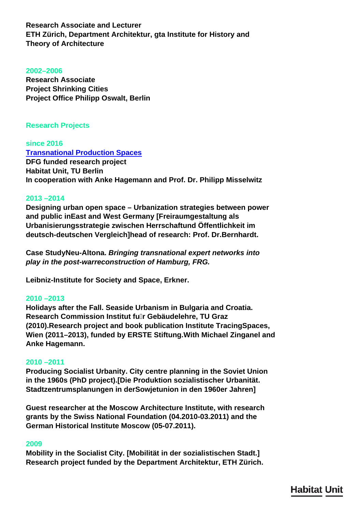**Research Associate and Lecturer ETH Zürich, Department Architektur, gta Institute for History and Theory of Architecture**

#### **2002–2006**

**Research Associate Project Shrinking Cities Project Office Philipp Oswalt, Berlin**

#### **Research Projects**

**since 2016 [Transnational Production Spaces](/en/research/transnational-production-spaces/) DFG funded research project Habitat Unit, TU Berlin In cooperation with Anke Hagemann and Prof. Dr. Philipp Misselwitz**

#### **2013 –2014**

**Designing urban open space – Urbanization strategies between power and public inEast and West Germany [Freiraumgestaltung als Urbanisierungsstrategie zwischen Herrschaftund Öffentlichkeit im deutsch-deutschen Vergleich]head of research: Prof. Dr.Bernhardt.**

**Case StudyNeu-Altona.** *Bringing transnational expert networks into play in the post-warreconstruction of Hamburg, FRG.*

**Leibniz-Institute for Society and Space, Erkner.**

#### **2010 –2013**

**Holidays after the Fall. Seaside Urbanism in Bulgaria and Croatia. Research Commission Institut für Gebäudelehre, TU Graz (2010).Research project and book publication Institute TracingSpaces, Wien (2011–2013), funded by ERSTE Stiftung.With Michael Zinganel and Anke Hagemann.**

#### **2010 –2011**

**Producing Socialist Urbanity. City centre planning in the Soviet Union in the 1960s (PhD project).[Die Produktion sozialistischer Urbanität. Stadtzentrumsplanungen in derSowjetunion in den 1960er Jahren]**

**Guest researcher at the Moscow Architecture Institute, with research grants by the Swiss National Foundation (04.2010-03.2011) and the German Historical Institute Moscow (05-07.2011).**

#### **2009**

**Mobility in the Socialist City. [Mobilität in der sozialistischen Stadt.] Research project funded by the Department Architektur, ETH Zürich.**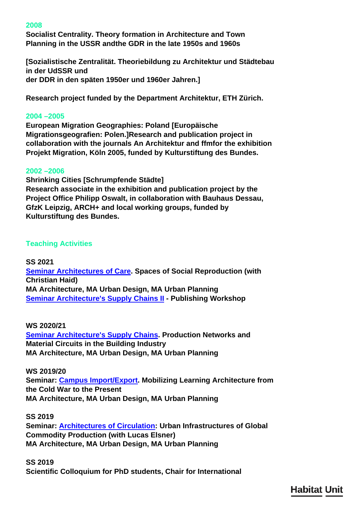# **2008**

**Socialist Centrality. Theory formation in Architecture and Town Planning in the USSR andthe GDR in the late 1950s and 1960s**

**[Sozialistische Zentralität. Theoriebildung zu Architektur und Städtebau in der UdSSR und der DDR in den späten 1950er und 1960er Jahren.]**

**Research project funded by the Department Architektur, ETH Zürich.**

# **2004 –2005**

**European Migration Geographies: Poland [Europäische Migrationsgeografien: Polen.]Research and publication project in collaboration with the journals An Architektur and ffmfor the exhibition Projekt Migration, Köln 2005, funded by Kulturstiftung des Bundes.**

# **2002 –2006**

**Shrinking Cities [Schrumpfende Städte] Research associate in the exhibition and publication project by the Project Office Philipp Oswalt, in collaboration with Bauhaus Dessau, GfzK Leipzig, ARCH+ and local working groups, funded by Kulturstiftung des Bundes.**

# **Teaching Activities**

**SS 2021 [Seminar Architectures of Care](/en/teaching/sose-2021-architectures-of-care/). Spaces of Social Reproduction (with Christian Haid) MA Architecture, MA Urban Design, MA Urban Planning [Seminar Architecture's Supply Chains II](/en/teaching/sose-2021-architectures-supply-chains-2/) - Publishing Workshop**

**WS 2020/21 [Seminar Architecture's Supply Chains](/en/teaching/ws-2020-architectures-supply-chains/). Production Networks and Material Circuits in the Building Industry MA Architecture, MA Urban Design, MA Urban Planning**

**WS 2019/20 Seminar: [Campus Import/Export.](/en/teaching/ws-2019-campus-import-export/) Mobilizing Learning Architecture from the Cold War to the Present MA Architecture, MA Urban Design, MA Urban Planning**

**SS 2019 Seminar: [Architectures of Circulation](/en/teaching/ss-2019-architectures-of-circulation/): Urban Infrastructures of Global Commodity Production (with Lucas Elsner) MA Architecture, MA Urban Design, MA Urban Planning**

**SS 2019 Scientific Colloquium for PhD students, Chair for International**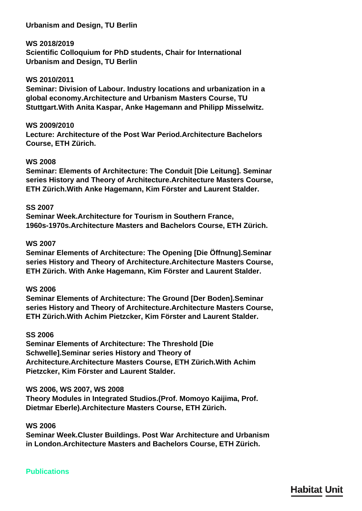# **Urbanism and Design, TU Berlin**

# **WS 2018/2019**

**Scientific Colloquium for PhD students, Chair for International Urbanism and Design, TU Berlin**

# **WS 2010/2011**

**Seminar: Division of Labour. Industry locations and urbanization in a global economy.Architecture and Urbanism Masters Course, TU Stuttgart.With Anita Kaspar, Anke Hagemann and Philipp Misselwitz.**

# **WS 2009/2010**

**Lecture: Architecture of the Post War Period.Architecture Bachelors Course, ETH Zürich.**

# **WS 2008**

**Seminar: Elements of Architecture: The Conduit [Die Leitung]. Seminar series History and Theory of Architecture.Architecture Masters Course, ETH Zürich.With Anke Hagemann, Kim Förster and Laurent Stalder.**

# **SS 2007**

**Seminar Week.Architecture for Tourism in Southern France, 1960s-1970s.Architecture Masters and Bachelors Course, ETH Zürich.**

# **WS 2007**

**Seminar Elements of Architecture: The Opening [Die Öffnung].Seminar series History and Theory of Architecture.Architecture Masters Course, ETH Zürich. With Anke Hagemann, Kim Förster and Laurent Stalder.**

# **WS 2006**

**Seminar Elements of Architecture: The Ground [Der Boden].Seminar series History and Theory of Architecture.Architecture Masters Course, ETH Zürich.With Achim Pietzcker, Kim Förster and Laurent Stalder.**

#### **SS 2006**

**Seminar Elements of Architecture: The Threshold [Die Schwelle].Seminar series History and Theory of Architecture.Architecture Masters Course, ETH Zürich.With Achim Pietzcker, Kim Förster and Laurent Stalder.**

# **WS 2006, WS 2007, WS 2008**

**Theory Modules in Integrated Studios.(Prof. Momoyo Kaijima, Prof. Dietmar Eberle).Architecture Masters Course, ETH Zürich.**

#### **WS 2006**

**Seminar Week.Cluster Buildings. Post War Architecture and Urbanism in London.Architecture Masters and Bachelors Course, ETH Zürich.**

#### **Publications**

# **Habitat Unit**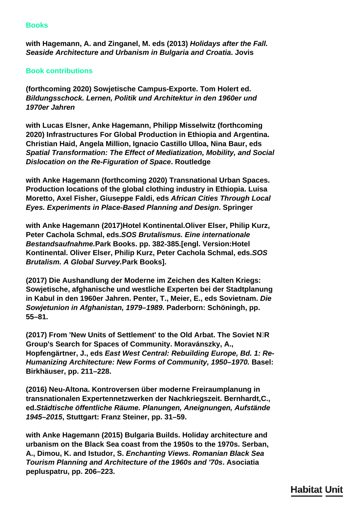#### **Books**

**with Hagemann, A. and Zinganel, M. eds (2013)** *Holidays after the Fall. Seaside Architecture and Urbanism in Bulgaria and Croatia***. Jovis**

#### **Book contributions**

**(forthcoming 2020) Sowjetische Campus-Exporte. Tom Holert ed.**  *Bildungsschock. Lernen, Politik und Architektur in den 1960er und 1970er Jahren*

**with Lucas Elsner, Anke Hagemann, Philipp Misselwitz (forthcoming 2020) Infrastructures For Global Production in Ethiopia and Argentina. Christian Haid, Angela Million, Ignacio Castillo Ulloa, Nina Baur, eds**  *Spatial Transformation: The Effect of Mediatization, Mobility, and Social Dislocation on the Re-Figuration of Space***. Routledge**

**with Anke Hagemann (forthcoming 2020) Transnational Urban Spaces. Production locations of the global clothing industry in Ethiopia. Luisa Moretto, Axel Fisher, Giuseppe Faldi, eds** *African Cities Through Local Eyes. Experiments in Place-Based Planning and Design***. Springer**

**with Anke Hagemann (2017)Hotel Kontinental.Oliver Elser, Philip Kurz, Peter Cachola Schmal, eds.***SOS Brutalismus. Eine internationale Bestandsaufnahme.***Park Books. pp. 382-385.[engl. Version:Hotel Kontinental. Oliver Elser, Philip Kurz, Peter Cachola Schmal, eds.***SOS Brutalism. A Global Survey.***Park Books].**

**(2017) Die Aushandlung der Moderne im Zeichen des Kalten Kriegs: Sowjetische, afghanische und westliche Experten bei der Stadtplanung in Kabul in den 1960er Jahren. Penter, T., Meier, E., eds Sovietnam.** *Die Sowjetunion in Afghanistan, 1979–1989***. Paderborn: Schöningh, pp. 55–81.**

**(2017) From 'New Units of Settlement' to the Old Arbat. The Soviet NĖR Group's Search for Spaces of Community. Moravánszky, A., Hopfengärtner, J., eds** *East West Central: Rebuilding Europe, Bd. 1: Re-Humanizing Architecture: New Forms of Community, 1950–1970.* **Basel: Birkhäuser, pp. 211–228.**

**(2016) Neu-Altona. Kontroversen über moderne Freiraumplanung in transnationalen Expertennetzwerken der Nachkriegszeit. Bernhardt,C., ed.***Städtische öffentliche Räume. Planungen, Aneignungen, Aufstände 1945–2015***, Stuttgart: Franz Steiner, pp. 31–59.**

**with Anke Hagemann (2015) Bulgaria Builds. Holiday architecture and urbanism on the Black Sea coast from the 1950s to the 1970s. Serban, A., Dimou, K. and Istudor, S.** *Enchanting Views. Romanian Black Sea Tourism Planning and Architecture of the 1960s and '70s***. Asociatia pepluspatru, pp. 206–223.**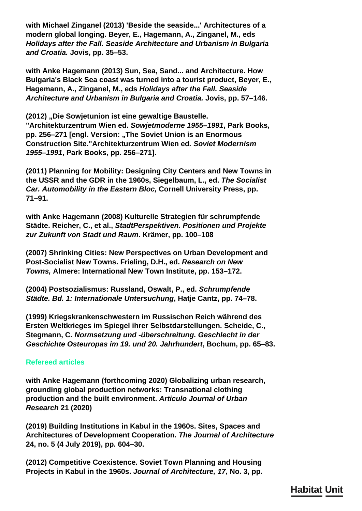**with Michael Zinganel (2013) 'Beside the seaside...' Architectures of a modern global longing. Beyer, E., Hagemann, A., Zinganel, M., eds**  *Holidays after the Fall. Seaside Architecture and Urbanism in Bulgaria and Croatia.* **Jovis, pp. 35–53.**

**with Anke Hagemann (2013) Sun, Sea, Sand... and Architecture. How Bulgaria's Black Sea coast was turned into a tourist product, Beyer, E., Hagemann, A., Zinganel, M., eds** *Holidays after the Fall. Seaside Architecture and Urbanism in Bulgaria and Croatia.* **Jovis, pp. 57–146.**

**(2012) "Die Sowjetunion ist eine gewaltige Baustelle. "Architekturzentrum Wien ed.** *Sowjetmoderne 1955–1991***, Park Books, pp. 256–271 [engl. Version: "The Soviet Union is an Enormous Construction Site."Architekturzentrum Wien ed***. Soviet Modernism 1955–1991***, Park Books, pp. 256–271].**

**(2011) Planning for Mobility: Designing City Centers and New Towns in the USSR and the GDR in the 1960s, Siegelbaum, L., ed.** *The Socialist Car. Automobility in the Eastern Bloc,* **Cornell University Press, pp. 71–91.**

**with Anke Hagemann (2008) Kulturelle Strategien für schrumpfende Städte. Reicher, C., et al.,** *StadtPerspektiven. Positionen und Projekte zur Zukunft von Stadt und Raum***. Krämer, pp. 100–108**

**(2007) Shrinking Cities: New Perspectives on Urban Development and Post-Socialist New Towns. Frieling, D.H., ed.** *Research on New Towns,* **Almere: International New Town Institute, pp. 153–172.**

**(2004) Postsozialismus: Russland, Oswalt, P., ed.** *Schrumpfende Städte. Bd. 1: Internationale Untersuchung***, Hatje Cantz, pp. 74–78.**

**(1999) Kriegskrankenschwestern im Russischen Reich während des Ersten Weltkrieges im Spiegel ihrer Selbstdarstellungen. Scheide, C., Stegmann, C.** *Normsetzung und -überschreitung. Geschlecht in der Geschichte Osteuropas im 19. und 20. Jahrhundert***, Bochum, pp. 65–83.**

# **Refereed articles**

**with Anke Hagemann (forthcoming 2020) Globalizing urban research, grounding global production networks: Transnational clothing production and the built environment.** *Articulo Journal of Urban Research* **21 (2020)**

**(2019) Building Institutions in Kabul in the 1960s. Sites, Spaces and Architectures of Development Cooperation.** *The Journal of Architecture* **24, no. 5 (4 July 2019), pp. 604–30.**

**(2012) Competitive Coexistence. Soviet Town Planning and Housing Projects in Kabul in the 1960s.** *Journal of Architecture, 17***, No. 3, pp.**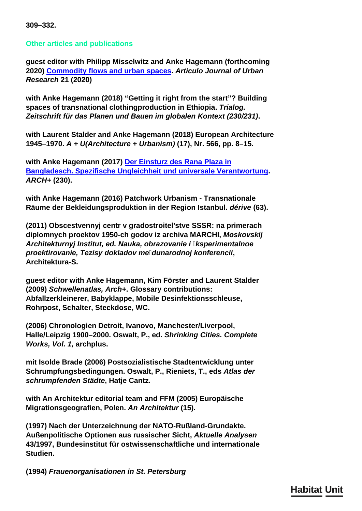**309–332.**

**Other articles and publications**

**guest editor with Philipp Misselwitz and Anke Hagemann (forthcoming 2020) [Commodity flows and urban spaces.](https://journals.openedition.org/articulo/4507)** *Articulo Journal of Urban Research* **21 (2020)**

**with Anke Hagemann (2018) "Getting it right from the start"? Building spaces of transnational clothingproduction in Ethiopia.** *Trialog. Zeitschrift für das Planen und Bauen im globalen Kontext (230/231)***.**

**with Laurent Stalder and Anke Hagemann (2018) European Architecture 1945–1970.** *A + U(Architecture + Urbanism)* **(17), Nr. 566, pp. 8–15.**

**with Anke Hagemann (2017) [Der Einsturz des Rana Plaza in](http://www.archplus.net/home/archiv/artikel/46,4873,1,0.html) [Bangladesch. Spezifische Ungleichheit und universale Verantwortung](http://www.archplus.net/home/archiv/artikel/46,4873,1,0.html).**  *ARCH+* **(230).**

**with Anke Hagemann (2016) Patchwork Urbanism - Transnationale Räume der Bekleidungsproduktion in der Region Istanbul.** *dérive* **(63).**

**(2011) Obscestvennyj centr v gradostroitel'stve SSSR: na primerach diplomnych proektov 1950-ch godov iz archiva MARCHI,** *Moskovskij* Architekturnyi Institut, ed. Nauka, obrazovanie i **Iksperimentalnoe** *proektirovanie, Tezisy dokladov meždunarodnoj konferencii***, Architektura-S.**

**guest editor with Anke Hagemann, Kim Förster and Laurent Stalder (2009)** *Schwellenatlas, Arch+***. Glossary contributions: Abfallzerkleinerer, Babyklappe, Mobile Desinfektionsschleuse, Rohrpost, Schalter, Steckdose, WC.**

**(2006) Chronologien Detroit, Ivanovo, Manchester/Liverpool, Halle/Leipzig 1900–2000. Oswalt, P., ed.** *Shrinking Cities. Complete Works, Vol. 1,* **archplus.**

**mit Isolde Brade (2006) Postsozialistische Stadtentwicklung unter Schrumpfungsbedingungen. Oswalt, P., Rieniets, T., eds** *Atlas der schrumpfenden Städte***, Hatje Cantz.**

**with An Architektur editorial team and FFM (2005) Europäische Migrationsgeografien, Polen.** *An Architektur* **(15).**

**(1997) Nach der Unterzeichnung der NATO-Rußland-Grundakte. Außenpolitische Optionen aus russischer Sicht,** *Aktuelle Analysen* **43/1997, Bundesinstitut für ostwissenschaftliche und internationale Studien.**

**(1994)** *Frauenorganisationen in St. Petersburg*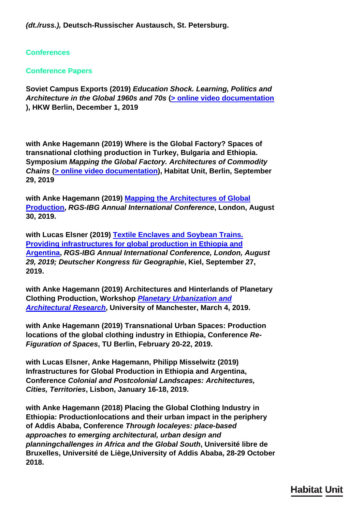# **Conferences**

# **Conference Papers**

**Soviet Campus Exports (2019)** *Education Shock. Learning, Politics and Architecture in the Global 1960s and 70s* **[\(> online video documentation](https://www.hkw.de/en/programm/projekte/veranstaltung/p_164339.php) ), HKW Berlin, December 1, 2019**

**with Anke Hagemann (2019) Where is the Global Factory? Spaces of transnational clothing production in Turkey, Bulgaria and Ethiopia. Symposium** *Mapping the Global Factory. Architectures of Commodity Chains* **([> online video documentation\)](../en/events/mapping-the-global-factory/), Habitat Unit, Berlin, September 29, 2019**

**with Anke Hagemann (2019) [Mapping the Architectures of Global](http://conference.rgs.org/AC2019/bad9eea1-af3b-4c53-bc11-de75eeb2b3a2) [Production,](http://conference.rgs.org/AC2019/bad9eea1-af3b-4c53-bc11-de75eeb2b3a2)** *RGS-IBG Annual International Conference***, London, August 30, 2019.**

**with Lucas Elsner (2019) [Textile Enclaves and Soybean Trains.](http://conference.rgs.org/AC2019/04a03bf2-19a9-426c-a939-6216170e5268) [Providing infrastructures for global production in Ethiopia and](http://conference.rgs.org/AC2019/04a03bf2-19a9-426c-a939-6216170e5268) [Argentina,](http://conference.rgs.org/AC2019/04a03bf2-19a9-426c-a939-6216170e5268)** *RGS-IBG Annual International Conference, London, August 29, 2019; Deutscher Kongress für Geographie***, Kiel, September 27, 2019.**

**with Anke Hagemann (2019) Architectures and Hinterlands of Planetary Clothing Production, Workshop** *[Planetary Urbanization and](:%20https:/events.manchester.ac.uk/event/event:haq-jpdr0hsj-grt1h1/planetary-urbanization-and-architectural-research) [Architectural Research](:%20https:/events.manchester.ac.uk/event/event:haq-jpdr0hsj-grt1h1/planetary-urbanization-and-architectural-research)***, University of Manchester, March 4, 2019.**

**with Anke Hagemann (2019) Transnational Urban Spaces: Production locations of the global clothing industry in Ethiopia, Conference** *Re-Figuration of Spaces***, TU Berlin, February 20-22, 2019.**

**with Lucas Elsner, Anke Hagemann, Philipp Misselwitz (2019) Infrastructures for Global Production in Ethiopia and Argentina, Conference** *Colonial and Postcolonial Landscapes: Architectures, Cities, Territories***, Lisbon, January 16-18, 2019.**

**with Anke Hagemann (2018) Placing the Global Clothing Industry in Ethiopia: Productionlocations and their urban impact in the periphery of Addis Ababa, Conference** *Through localeyes: place-based approaches to emerging architectural, urban design and planningchallenges in Africa and the Global South***, Université libre de Bruxelles, Université de Liège,University of Addis Ababa, 28-29 October 2018.**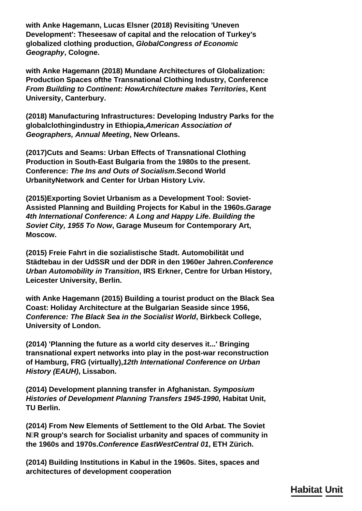**with Anke Hagemann, Lucas Elsner (2018) Revisiting 'Uneven Development': Theseesaw of capital and the relocation of Turkey's globalized clothing production,** *GlobalCongress of Economic Geography***, Cologne.**

**with Anke Hagemann (2018) Mundane Architectures of Globalization: Production Spaces ofthe Transnational Clothing Industry, Conference**  *From Building to Continent: HowArchitecture makes Territories***, Kent University, Canterbury.**

**(2018) Manufacturing Infrastructures: Developing Industry Parks for the globalclothingindustry in Ethiopia,***American Association of Geographers, Annual Meeting***, New Orleans.**

**(2017)Cuts and Seams: Urban Effects of Transnational Clothing Production in South-East Bulgaria from the 1980s to the present. Conference:** *The Ins and Outs of Socialism***.Second World UrbanityNetwork and Center for Urban History Lviv.**

**(2015)Exporting Soviet Urbanism as a Development Tool: Soviet-Assisted Planning and Building Projects for Kabul in the 1960s.***Garage 4th International Conference: A Long and Happy Life***.** *Building the Soviet City, 1955 To Now***, Garage Museum for Contemporary Art, Moscow.**

**(2015) Freie Fahrt in die sozialistische Stadt. Automobilität und Städtebau in der UdSSR und der DDR in den 1960er Jahren.***Conference Urban Automobility in Transition***, IRS Erkner, Centre for Urban History, Leicester University, Berlin.**

**with Anke Hagemann (2015) Building a tourist product on the Black Sea Coast: Holiday Architecture at the Bulgarian Seaside since 1956,**  *Conference: The Black Sea in the Socialist World***, Birkbeck College, University of London.**

**(2014) 'Planning the future as a world city deserves it...' Bringing transnational expert networks into play in the post-war reconstruction of Hamburg, FRG (virtually),***12th International Conference on Urban History (EAUH)***, Lissabon.**

**(2014) Development planning transfer in Afghanistan.** *Symposium Histories of Development Planning Transfers 1945-1990,* **Habitat Unit, TU Berlin.**

**(2014) From New Elements of Settlement to the Old Arbat. The Soviet NĖR group's search for Socialist urbanity and spaces of community in the 1960s and 1970s.***Conference EastWestCentral 01***, ETH Zürich.**

**(2014) Building Institutions in Kabul in the 1960s. Sites, spaces and architectures of development cooperation**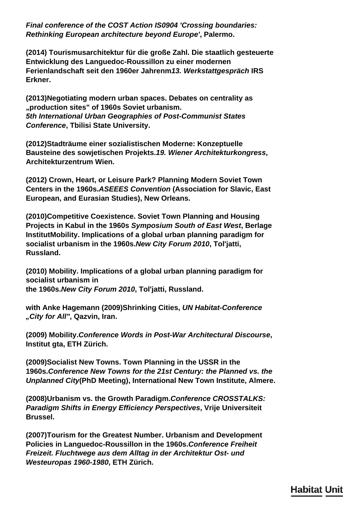*Final conference of the COST Action IS0904 'Crossing boundaries: Rethinking European architecture beyond Europe'***, Palermo.**

**(2014) Tourismusarchitektur für die große Zahl. Die staatlich gesteuerte Entwicklung des Languedoc-Roussillon zu einer modernen Ferienlandschaft seit den 1960er Jahrenm***13. Werkstattgespräch* **IRS Erkner.**

**(2013)Negotiating modern urban spaces. Debates on centrality as "production sites" of 1960s Soviet urbanism.** *5th International Urban Geographies of Post-Communist States Conference***, Tbilisi State University.**

**(2012)Stadträume einer sozialistischen Moderne: Konzeptuelle Bausteine des sowjetischen Projekts.***19. Wiener Architekturkongress***, Architekturzentrum Wien.**

**(2012) Crown, Heart, or Leisure Park? Planning Modern Soviet Town Centers in the 1960s.***ASEEES Convention* **(Association for Slavic, East European, and Eurasian Studies), New Orleans.**

**(2010)Competitive Coexistence. Soviet Town Planning and Housing Projects in Kabul in the 1960s** *Symposium South of East West***, Berlage InstitutMobility. Implications of a global urban planning paradigm for socialist urbanism in the 1960s.***New City Forum 2010***, Tol'jatti, Russland.**

**(2010) Mobility. Implications of a global urban planning paradigm for socialist urbanism in the 1960s.***New City Forum 2010***, Tol'jatti, Russland.**

**with Anke Hagemann (2009)Shrinking Cities,** *UN Habitat-Conference "City for All"***, Qazvin, Iran.**

**(2009) Mobility.***Conference Words in Post-War Architectural Discourse***, Institut gta, ETH Zürich.**

**(2009)Socialist New Towns. Town Planning in the USSR in the 1960s.***Conference New Towns for the 21st Century: the Planned vs. the Unplanned City***(PhD Meeting), International New Town Institute, Almere.**

**(2008)Urbanism vs. the Growth Paradigm.***Conference CROSSTALKS: Paradigm Shifts in Energy Efficiency Perspectives***, Vrije Universiteit Brussel.**

**(2007)Tourism for the Greatest Number. Urbanism and Development Policies in Languedoc-Roussillon in the 1960s.***Conference Freiheit Freizeit. Fluchtwege aus dem Alltag in der Architektur Ost- und Westeuropas 1960-1980***, ETH Zürich.**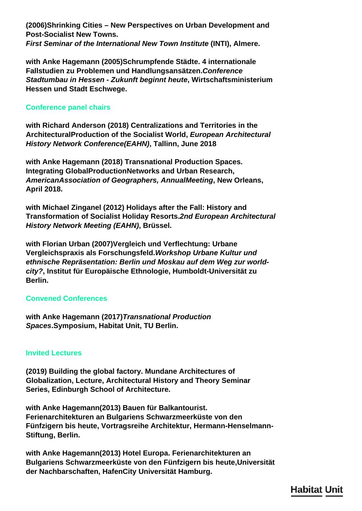**(2006)Shrinking Cities – New Perspectives on Urban Development and Post-Socialist New Towns.**

*First Seminar of the International New Town Institute* **(INTI), Almere.**

**with Anke Hagemann (2005)Schrumpfende Städte. 4 internationale Fallstudien zu Problemen und Handlungsansätzen.***Conference Stadtumbau in Hessen - Zukunft beginnt heute***, Wirtschaftsministerium Hessen und Stadt Eschwege.**

# **Conference panel chairs**

**with Richard Anderson (2018) Centralizations and Territories in the ArchitecturalProduction of the Socialist World,** *European Architectural History Network Conference(EAHN)***, Tallinn, June 2018**

**with Anke Hagemann (2018) Transnational Production Spaces. Integrating GlobalProductionNetworks and Urban Research,**  *AmericanAssociation of Geographers, AnnualMeeting***, New Orleans, April 2018.**

**with Michael Zinganel (2012) Holidays after the Fall: History and Transformation of Socialist Holiday Resorts.***2nd European Architectural History Network Meeting (EAHN)***, Brüssel.**

**with Florian Urban (2007)Vergleich und Verflechtung: Urbane Vergleichspraxis als Forschungsfeld.***Workshop Urbane Kultur und ethnische Repräsentation: Berlin und Moskau auf dem Weg zur worldcity?***, Institut für Europäische Ethnologie, Humboldt-Universität zu Berlin.**

# **Convened Conferences**

**with Anke Hagemann (2017)***Transnational Production Spaces***.Symposium, Habitat Unit, TU Berlin.**

# **Invited Lectures**

**(2019) Building the global factory. Mundane Architectures of Globalization, Lecture, Architectural History and Theory Seminar Series, Edinburgh School of Architecture.**

**with Anke Hagemann(2013) Bauen für Balkantourist. Ferienarchitekturen an Bulgariens Schwarzmeerküste von den Fünfzigern bis heute, Vortragsreihe Architektur, Hermann-Henselmann-Stiftung, Berlin.**

**with Anke Hagemann(2013) Hotel Europa. Ferienarchitekturen an Bulgariens Schwarzmeerküste von den Fünfzigern bis heute,Universität der Nachbarschaften, HafenCity Universität Hamburg.**

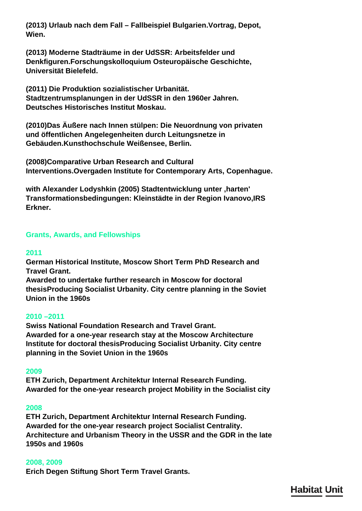**(2013) Urlaub nach dem Fall – Fallbeispiel Bulgarien.Vortrag, Depot, Wien.**

**(2013) Moderne Stadträume in der UdSSR: Arbeitsfelder und Denkfiguren.Forschungskolloquium Osteuropäische Geschichte, Universität Bielefeld.**

**(2011) Die Produktion sozialistischer Urbanität. Stadtzentrumsplanungen in der UdSSR in den 1960er Jahren. Deutsches Historisches Institut Moskau.**

**(2010)Das Äußere nach Innen stülpen: Die Neuordnung von privaten und öffentlichen Angelegenheiten durch Leitungsnetze in Gebäuden.Kunsthochschule Weißensee, Berlin.**

**(2008)Comparative Urban Research and Cultural Interventions.Overgaden Institute for Contemporary Arts, Copenhague.**

**with Alexander Lodyshkin (2005) Stadtentwicklung unter 'harten' Transformationsbedingungen: Kleinstädte in der Region Ivanovo,IRS Erkner.**

# **Grants, Awards, and Fellowships**

#### **2011**

**German Historical Institute, Moscow Short Term PhD Research and Travel Grant.**

**Awarded to undertake further research in Moscow for doctoral thesisProducing Socialist Urbanity. City centre planning in the Soviet Union in the 1960s**

# **2010 –2011**

**Swiss National Foundation Research and Travel Grant. Awarded for a one-year research stay at the Moscow Architecture Institute for doctoral thesisProducing Socialist Urbanity. City centre planning in the Soviet Union in the 1960s**

#### **2009**

**ETH Zurich, Department Architektur Internal Research Funding. Awarded for the one-year research project Mobility in the Socialist city**

#### **2008**

**ETH Zurich, Department Architektur Internal Research Funding. Awarded for the one-year research project Socialist Centrality. Architecture and Urbanism Theory in the USSR and the GDR in the late 1950s and 1960s**

#### **2008, 2009**

**Erich Degen Stiftung Short Term Travel Grants.**